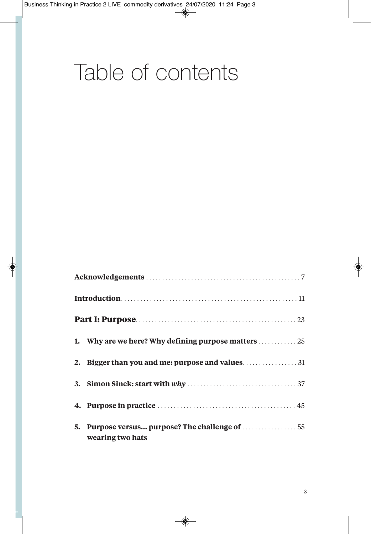## Table of contents

| 5. | wearing two hats |  |
|----|------------------|--|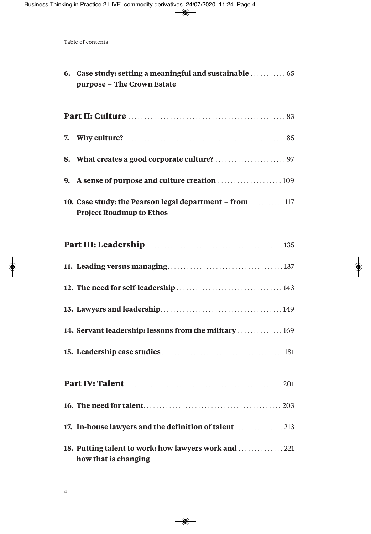| 6. Case study: setting a meaningful and sustainable  65<br>purpose - The Crown Estate       |
|---------------------------------------------------------------------------------------------|
|                                                                                             |
|                                                                                             |
|                                                                                             |
|                                                                                             |
| 10. Case study: the Pearson legal department - from  117<br><b>Project Roadmap to Ethos</b> |
|                                                                                             |
|                                                                                             |
|                                                                                             |
|                                                                                             |
| 14. Servant leadership: lessons from the military  169                                      |
|                                                                                             |
|                                                                                             |
|                                                                                             |
| 17. In-house lawyers and the definition of talent  213                                      |
| 18. Putting talent to work: how lawyers work and  221<br>how that is changing               |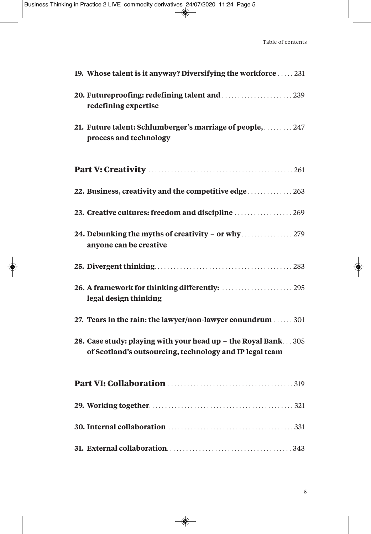| 19. Whose talent is it anyway? Diversifying the workforce  231                                                           |
|--------------------------------------------------------------------------------------------------------------------------|
| 20. Futureproofing: redefining talent and  239<br>redefining expertise                                                   |
| 21. Future talent: Schlumberger's marriage of people,  247<br>process and technology                                     |
|                                                                                                                          |
|                                                                                                                          |
| 23. Creative cultures: freedom and discipline  269                                                                       |
| anyone can be creative                                                                                                   |
|                                                                                                                          |
| 26. A framework for thinking differently:  295<br>legal design thinking                                                  |
| 27. Tears in the rain: the lawyer/non-lawyer conundrum  301                                                              |
| 28. Case study: playing with your head up - the Royal Bank305<br>of Scotland's outsourcing, technology and IP legal team |
|                                                                                                                          |
|                                                                                                                          |
|                                                                                                                          |
|                                                                                                                          |